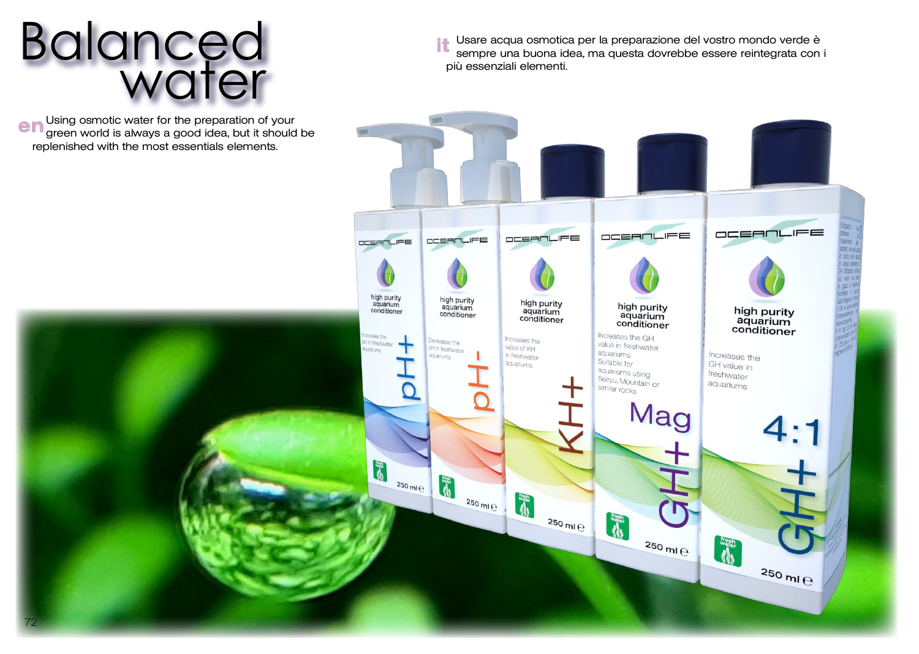# Balanced water

Using osmotic water for the preparation of your **e n** Using osmotic water for the preparation of your<br>**e n** green world is always a good idea, but it should be replenished with the most essentials elements.

Usare acqua osmotica per la preparazione del vostro mondo verde è sempre una buona idea, ma questa dovrebbe essere reintegrata con i più essenziali elementi. it